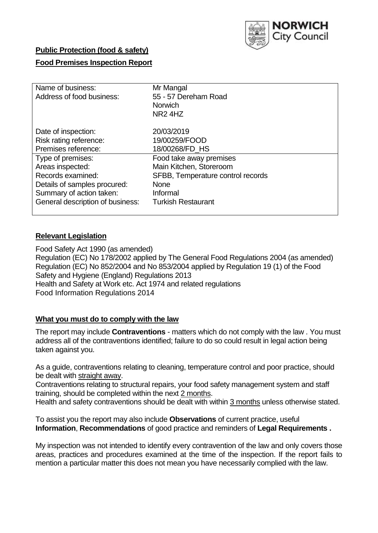

# **Public Protection (food & safety)**

# **Food Premises Inspection Report**

| Name of business:                | Mr Mangal                         |  |  |  |  |
|----------------------------------|-----------------------------------|--|--|--|--|
| Address of food business:        | 55 - 57 Dereham Road              |  |  |  |  |
|                                  | <b>Norwich</b>                    |  |  |  |  |
|                                  | NR <sub>2</sub> 4H <sub>Z</sub>   |  |  |  |  |
| Date of inspection:              | 20/03/2019                        |  |  |  |  |
| Risk rating reference:           | 19/00259/FOOD                     |  |  |  |  |
| Premises reference:              | 18/00268/FD_HS                    |  |  |  |  |
| Type of premises:                | Food take away premises           |  |  |  |  |
| Areas inspected:                 | Main Kitchen, Storeroom           |  |  |  |  |
| Records examined:                | SFBB, Temperature control records |  |  |  |  |
| Details of samples procured:     | <b>None</b>                       |  |  |  |  |
| Summary of action taken:         | Informal                          |  |  |  |  |
| General description of business: | <b>Turkish Restaurant</b>         |  |  |  |  |
|                                  |                                   |  |  |  |  |

# **Relevant Legislation**

Food Safety Act 1990 (as amended) Regulation (EC) No 178/2002 applied by The General Food Regulations 2004 (as amended) Regulation (EC) No 852/2004 and No 853/2004 applied by Regulation 19 (1) of the Food Safety and Hygiene (England) Regulations 2013 Health and Safety at Work etc. Act 1974 and related regulations Food Information Regulations 2014

### **What you must do to comply with the law**

The report may include **Contraventions** - matters which do not comply with the law . You must address all of the contraventions identified; failure to do so could result in legal action being taken against you.

As a guide, contraventions relating to cleaning, temperature control and poor practice, should be dealt with straight away.

Contraventions relating to structural repairs, your food safety management system and staff training, should be completed within the next 2 months.

Health and safety contraventions should be dealt with within 3 months unless otherwise stated.

To assist you the report may also include **Observations** of current practice, useful **Information**, **Recommendations** of good practice and reminders of **Legal Requirements .**

My inspection was not intended to identify every contravention of the law and only covers those areas, practices and procedures examined at the time of the inspection. If the report fails to mention a particular matter this does not mean you have necessarily complied with the law.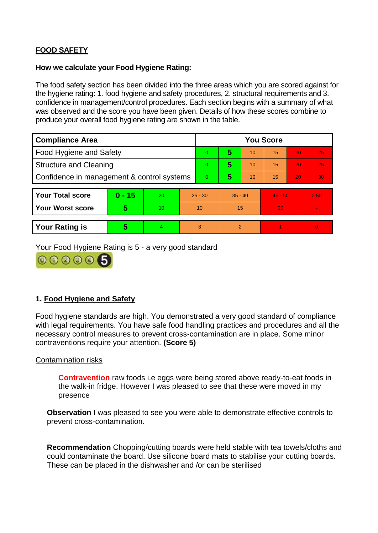# **FOOD SAFETY**

#### **How we calculate your Food Hygiene Rating:**

The food safety section has been divided into the three areas which you are scored against for the hygiene rating: 1. food hygiene and safety procedures, 2. structural requirements and 3. confidence in management/control procedures. Each section begins with a summary of what was observed and the score you have been given. Details of how these scores combine to produce your overall food hygiene rating are shown in the table.

| <b>Compliance Area</b>                     |          |    | <b>You Score</b> |   |           |                |           |    |                |  |  |
|--------------------------------------------|----------|----|------------------|---|-----------|----------------|-----------|----|----------------|--|--|
| Food Hygiene and Safety                    |          |    | $\Omega$         | 5 | 10        | 15             | 20        | 25 |                |  |  |
| <b>Structure and Cleaning</b>              |          |    | $\overline{0}$   | 5 | 10        | 15             | 20        | 25 |                |  |  |
| Confidence in management & control systems |          |    | $\Omega$         | 5 | 10        | 15             | 20        | 30 |                |  |  |
|                                            |          |    |                  |   |           |                |           |    |                |  |  |
| <b>Your Total score</b>                    | $0 - 15$ | 20 | $25 - 30$        |   | $35 - 40$ |                | $45 - 50$ |    | > 50           |  |  |
| <b>Your Worst score</b>                    | 5        | 10 | 10               |   | 15        |                | 20        |    | $\blacksquare$ |  |  |
|                                            |          |    |                  |   |           |                |           |    |                |  |  |
| <b>Your Rating is</b>                      | 5        | 4  |                  | 3 |           | $\overline{2}$ |           |    | $\Omega$       |  |  |

Your Food Hygiene Rating is 5 - a very good standard



# **1. Food Hygiene and Safety**

Food hygiene standards are high. You demonstrated a very good standard of compliance with legal requirements. You have safe food handling practices and procedures and all the necessary control measures to prevent cross-contamination are in place. Some minor contraventions require your attention. **(Score 5)**

### Contamination risks

**Contravention** raw foods i.e eggs were being stored above ready-to-eat foods in the walk-in fridge. However I was pleased to see that these were moved in my presence

**Observation** I was pleased to see you were able to demonstrate effective controls to prevent cross-contamination.

**Recommendation** Chopping/cutting boards were held stable with tea towels/cloths and could contaminate the board. Use silicone board mats to stabilise your cutting boards. These can be placed in the dishwasher and /or can be sterilised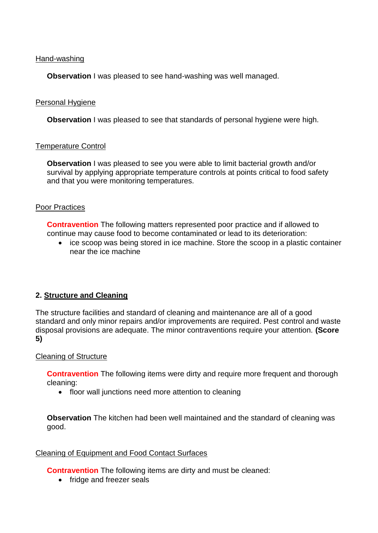#### Hand-washing

**Observation** I was pleased to see hand-washing was well managed.

#### Personal Hygiene

**Observation** I was pleased to see that standards of personal hygiene were high.

#### Temperature Control

**Observation** I was pleased to see you were able to limit bacterial growth and/or survival by applying appropriate temperature controls at points critical to food safety and that you were monitoring temperatures.

#### Poor Practices

**Contravention** The following matters represented poor practice and if allowed to continue may cause food to become contaminated or lead to its deterioration:

• ice scoop was being stored in ice machine. Store the scoop in a plastic container near the ice machine

### **2. Structure and Cleaning**

The structure facilities and standard of cleaning and maintenance are all of a good standard and only minor repairs and/or improvements are required. Pest control and waste disposal provisions are adequate. The minor contraventions require your attention. **(Score 5)**

#### Cleaning of Structure

**Contravention** The following items were dirty and require more frequent and thorough cleaning:

• floor wall junctions need more attention to cleaning

**Observation** The kitchen had been well maintained and the standard of cleaning was good.

#### Cleaning of Equipment and Food Contact Surfaces

**Contravention** The following items are dirty and must be cleaned:

• fridge and freezer seals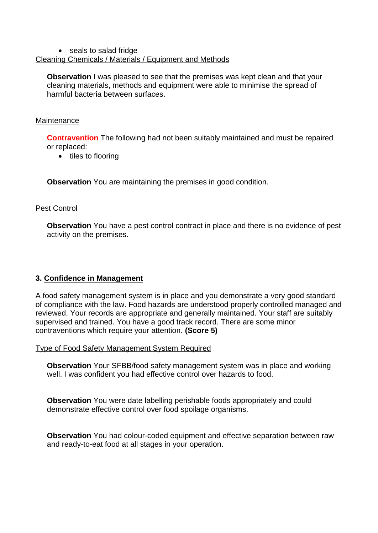#### • seals to salad fridge Cleaning Chemicals / Materials / Equipment and Methods

**Observation** I was pleased to see that the premises was kept clean and that your cleaning materials, methods and equipment were able to minimise the spread of harmful bacteria between surfaces.

## **Maintenance**

**Contravention** The following had not been suitably maintained and must be repaired or replaced:

• tiles to flooring

**Observation** You are maintaining the premises in good condition.

# Pest Control

**Observation** You have a pest control contract in place and there is no evidence of pest activity on the premises.

# **3. Confidence in Management**

A food safety management system is in place and you demonstrate a very good standard of compliance with the law. Food hazards are understood properly controlled managed and reviewed. Your records are appropriate and generally maintained. Your staff are suitably supervised and trained. You have a good track record. There are some minor contraventions which require your attention. **(Score 5)**

Type of Food Safety Management System Required

**Observation** Your SFBB/food safety management system was in place and working well. I was confident you had effective control over hazards to food.

**Observation** You were date labelling perishable foods appropriately and could demonstrate effective control over food spoilage organisms.

**Observation** You had colour-coded equipment and effective separation between raw and ready-to-eat food at all stages in your operation.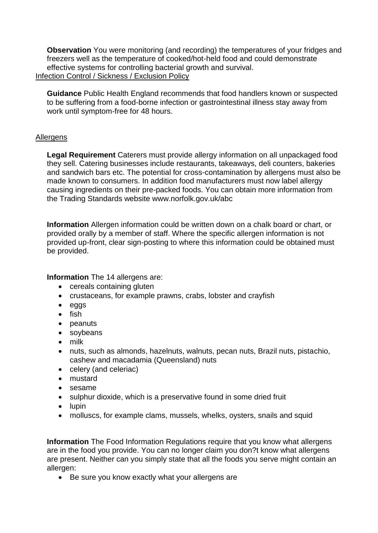**Observation** You were monitoring (and recording) the temperatures of your fridges and freezers well as the temperature of cooked/hot-held food and could demonstrate effective systems for controlling bacterial growth and survival. Infection Control / Sickness / Exclusion Policy

**Guidance** Public Health England recommends that food handlers known or suspected to be suffering from a food-borne infection or gastrointestinal illness stay away from work until symptom-free for 48 hours.

# **Allergens**

**Legal Requirement** Caterers must provide allergy information on all unpackaged food they sell. Catering businesses include restaurants, takeaways, deli counters, bakeries and sandwich bars etc. The potential for cross-contamination by allergens must also be made known to consumers. In addition food manufacturers must now label allergy causing ingredients on their pre-packed foods. You can obtain more information from the Trading Standards website www.norfolk.gov.uk/abc

**Information** Allergen information could be written down on a chalk board or chart, or provided orally by a member of staff. Where the specific allergen information is not provided up-front, clear sign-posting to where this information could be obtained must be provided.

**Information** The 14 allergens are:

- cereals containing gluten
- crustaceans, for example prawns, crabs, lobster and crayfish
- eggs
- $\bullet$  fish
- peanuts
- soybeans
- milk
- nuts, such as almonds, hazelnuts, walnuts, pecan nuts, Brazil nuts, pistachio, cashew and macadamia (Queensland) nuts
- celery (and celeriac)
- mustard
- sesame
- sulphur dioxide, which is a preservative found in some dried fruit
- $\bullet$  lupin
- molluscs, for example clams, mussels, whelks, oysters, snails and squid

**Information** The Food Information Regulations require that you know what allergens are in the food you provide. You can no longer claim you don?t know what allergens are present. Neither can you simply state that all the foods you serve might contain an allergen:

• Be sure you know exactly what your allergens are